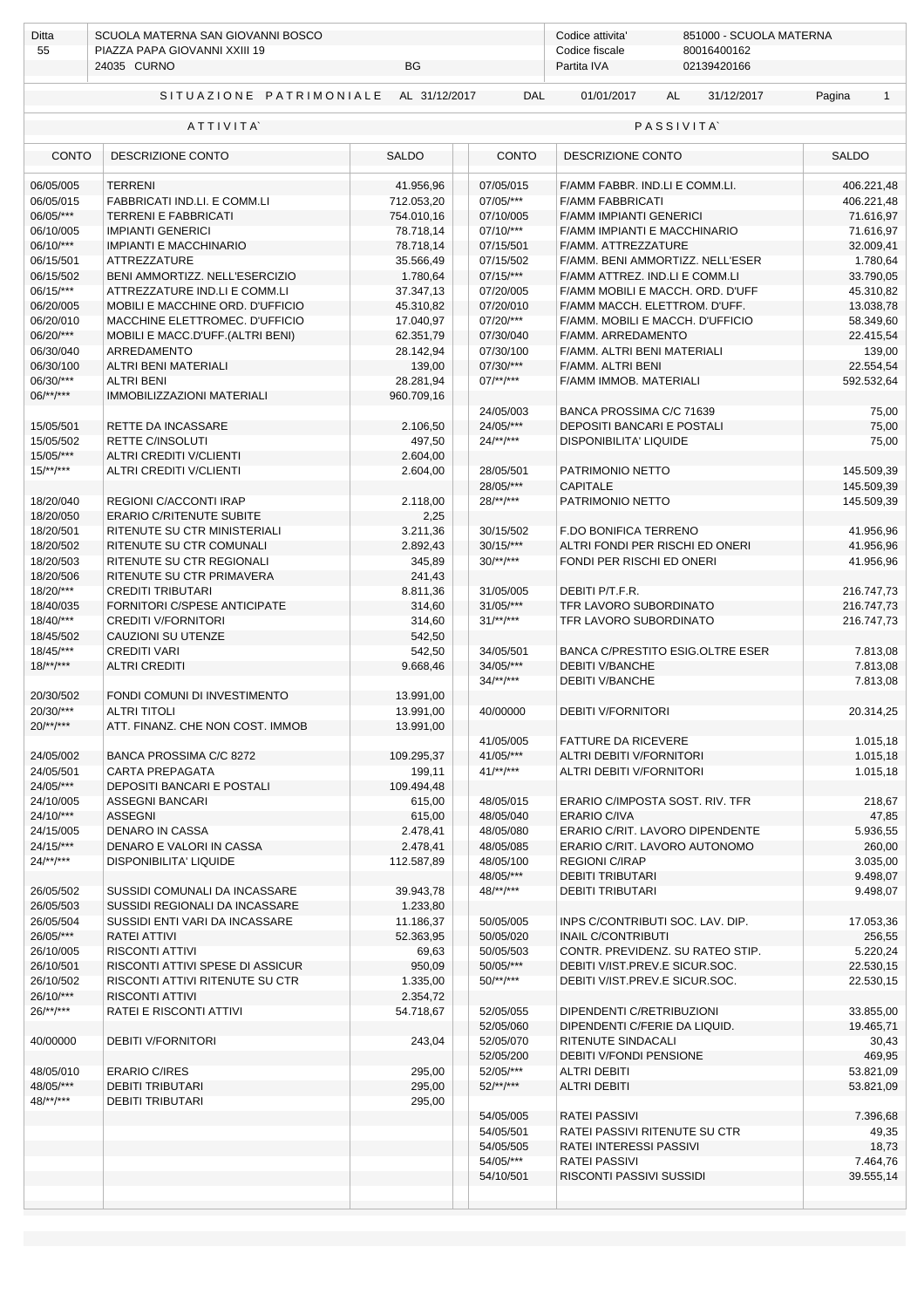| Ditta                             | SCUOLA MATERNA SAN GIOVANNI BOSCO<br>PIAZZA PAPA GIOVANNI XXIII 19 |                              | Codice attivita'<br>851000 - SCUOLA MATERNA |                                                             |                          |  |  |
|-----------------------------------|--------------------------------------------------------------------|------------------------------|---------------------------------------------|-------------------------------------------------------------|--------------------------|--|--|
| 55                                | 24035 CURNO<br>BG                                                  |                              |                                             | Codice fiscale<br>80016400162<br>02139420166<br>Partita IVA |                          |  |  |
|                                   | SITUAZIONE PATRIMONIALE AL 31/12/2017                              |                              | <b>DAL</b>                                  | 01/01/2017<br><b>AL</b><br>31/12/2017                       | Pagina<br>$\mathbf{1}$   |  |  |
|                                   | ATTIVITA                                                           |                              |                                             | <b>PASSIVITA</b>                                            |                          |  |  |
| <b>CONTO</b><br>DESCRIZIONE CONTO |                                                                    | <b>SALDO</b><br><b>CONTO</b> |                                             | DESCRIZIONE CONTO                                           | <b>SALDO</b>             |  |  |
| 06/05/005                         | <b>TERRENI</b>                                                     |                              | 07/05/015                                   |                                                             |                          |  |  |
| 06/05/015                         | FABBRICATI IND.LI. E COMM.LI                                       | 41.956,96<br>712.053,20      | 07/05/***                                   | F/AMM FABBR. IND.LI E COMM.LI.<br><b>F/AMM FABBRICATI</b>   | 406.221,48<br>406.221,48 |  |  |
| 06/05/***                         | <b>TERRENI E FABBRICATI</b>                                        | 754.010,16                   | 07/10/005                                   | <b>F/AMM IMPIANTI GENERICI</b>                              | 71.616,97                |  |  |
| 06/10/005                         | <b>IMPIANTI GENERICI</b>                                           | 78.718,14                    | $07/10$ /***                                | F/AMM IMPIANTI E MACCHINARIO                                | 71.616,97                |  |  |
| 06/10/***                         | <b>IMPIANTI E MACCHINARIO</b>                                      | 78.718,14                    | 07/15/501                                   | F/AMM. ATTREZZATURE                                         | 32.009,41                |  |  |
| 06/15/501                         | ATTREZZATURE                                                       | 35.566,49                    | 07/15/502                                   | F/AMM. BENI AMMORTIZZ. NELL'ESER                            | 1.780,64                 |  |  |
| 06/15/502                         | BENI AMMORTIZZ. NELL'ESERCIZIO                                     | 1.780,64                     | $07/15$ /***                                | F/AMM ATTREZ. IND.LI E COMM.LI                              | 33.790,05                |  |  |
| 06/15/***                         | ATTREZZATURE IND.LI E COMM.LI                                      | 37.347,13                    | 07/20/005                                   | F/AMM MOBILI E MACCH. ORD. D'UFF                            | 45.310,82                |  |  |
| 06/20/005                         | MOBILI E MACCHINE ORD. D'UFFICIO                                   | 45.310,82                    | 07/20/010                                   | F/AMM MACCH. ELETTROM. D'UFF.                               | 13.038,78                |  |  |
| 06/20/010                         | MACCHINE ELETTROMEC. D'UFFICIO                                     | 17.040,97                    | 07/20/***                                   | F/AMM. MOBILI E MACCH. D'UFFICIO                            | 58.349,60                |  |  |
| 06/20/***                         | MOBILI E MACC.D'UFF.(ALTRI BENI)                                   | 62.351,79                    | 07/30/040                                   | F/AMM. ARREDAMENTO                                          | 22.415,54                |  |  |
| 06/30/040                         | ARREDAMENTO                                                        | 28.142,94                    | 07/30/100                                   | F/AMM. ALTRI BENI MATERIALI                                 | 139,00                   |  |  |
| 06/30/100                         | ALTRI BENI MATERIALI                                               | 139,00                       | 07/30/***                                   | F/AMM. ALTRI BENI                                           | 22.554,54                |  |  |
| 06/30/***                         | <b>ALTRI BENI</b>                                                  | 28.281,94                    | $07$ /**/***                                | F/AMM IMMOB. MATERIALI                                      | 592.532,64               |  |  |
| $06$ /**/***                      | <b>IMMOBILIZZAZIONI MATERIALI</b>                                  | 960.709,16                   |                                             |                                                             |                          |  |  |
|                                   |                                                                    |                              | 24/05/003                                   | BANCA PROSSIMA C/C 71639                                    | 75,00                    |  |  |
| 15/05/501                         | RETTE DA INCASSARE                                                 | 2.106,50                     | 24/05/***                                   | DEPOSITI BANCARI E POSTALI                                  | 75,00                    |  |  |
| 15/05/502                         | <b>RETTE C/INSOLUTI</b>                                            | 497,50                       | $24$ /**/***                                | DISPONIBILITA' LIQUIDE                                      | 75,00                    |  |  |
| 15/05/***                         | ALTRI CREDITI V/CLIENTI                                            | 2.604,00                     |                                             |                                                             |                          |  |  |
| $15$ /**/***                      | <b>ALTRI CREDITI V/CLIENTI</b>                                     | 2.604,00                     | 28/05/501                                   | PATRIMONIO NETTO                                            | 145.509,39               |  |  |
|                                   |                                                                    |                              | 28/05/***                                   | <b>CAPITALE</b>                                             | 145.509,39               |  |  |
| 18/20/040                         | REGIONI C/ACCONTI IRAP                                             | 2.118,00                     | $28$ /**/***                                | PATRIMONIO NETTO                                            | 145.509,39               |  |  |
| 18/20/050                         | <b>ERARIO C/RITENUTE SUBITE</b>                                    | 2,25                         |                                             |                                                             |                          |  |  |
| 18/20/501                         | RITENUTE SU CTR MINISTERIALI                                       | 3.211,36                     | 30/15/502                                   | F.DO BONIFICA TERRENO                                       | 41.956,96                |  |  |
| 18/20/502                         | RITENUTE SU CTR COMUNALI                                           | 2.892,43                     | $30/15$ /***                                | ALTRI FONDI PER RISCHI ED ONERI                             | 41.956,96                |  |  |
| 18/20/503                         | RITENUTE SU CTR REGIONALI                                          | 345,89                       | $30$ /**/***                                | FONDI PER RISCHI ED ONERI                                   | 41.956,96                |  |  |
| 18/20/506                         | RITENUTE SU CTR PRIMAVERA                                          | 241,43                       |                                             |                                                             |                          |  |  |
| 18/20/***                         | <b>CREDITI TRIBUTARI</b>                                           | 8.811,36                     | 31/05/005                                   | DEBITI P/T.F.R.                                             | 216.747,73               |  |  |
| 18/40/035                         | FORNITORI C/SPESE ANTICIPATE                                       | 314,60                       | $31/05$ /***                                | TFR LAVORO SUBORDINATO                                      | 216.747,73               |  |  |
| 18/40/***                         | <b>CREDITI V/FORNITORI</b>                                         | 314,60                       | $31$ /**/***                                | TFR LAVORO SUBORDINATO                                      | 216.747,73               |  |  |
| 18/45/502                         | CAUZIONI SU UTENZE                                                 | 542,50                       |                                             |                                                             |                          |  |  |
| 18/45/***                         | <b>CREDITI VARI</b>                                                | 542,50                       | 34/05/501                                   | BANCA C/PRESTITO ESIG.OLTRE ESER                            | 7.813,08                 |  |  |
| $18$ /**/***                      | <b>ALTRI CREDITI</b>                                               | 9.668,46                     | 34/05/***                                   | <b>DEBITI V/BANCHE</b>                                      | 7.813,08                 |  |  |
|                                   |                                                                    |                              | $34/**/***$                                 | <b>DEBITI V/BANCHE</b>                                      | 7.813,08                 |  |  |
| 20/30/502                         | FONDI COMUNI DI INVESTIMENTO                                       | 13.991,00                    |                                             |                                                             |                          |  |  |
| 20/30/***                         | <b>ALTRI TITOLI</b>                                                | 13.991.00                    | 40/00000                                    | <b>DEBITI V/FORNITORI</b>                                   | 20.314,25                |  |  |
| $20$ /**/***                      | ATT. FINANZ. CHE NON COST. IMMOB                                   | 13.991,00                    |                                             |                                                             |                          |  |  |
|                                   |                                                                    |                              | 41/05/005                                   | <b>FATTURE DA RICEVERE</b>                                  | 1.015,18                 |  |  |
| 24/05/002                         | BANCA PROSSIMA C/C 8272                                            | 109.295,37                   | 41/05/***                                   | ALTRI DEBITI V/FORNITORI                                    | 1.015,18                 |  |  |
| 24/05/501                         | CARTA PREPAGATA                                                    | 199,11                       | $41$ /**/***                                | ALTRI DEBITI V/FORNITORI                                    | 1.015,18                 |  |  |
| 24/05/***                         | DEPOSITI BANCARI E POSTALI                                         | 109.494,48                   |                                             |                                                             |                          |  |  |
| 24/10/005                         | <b>ASSEGNI BANCARI</b>                                             | 615,00                       | 48/05/015                                   | ERARIO C/IMPOSTA SOST. RIV. TFR                             | 218,67                   |  |  |
| 24/10/***                         | <b>ASSEGNI</b>                                                     | 615,00                       | 48/05/040                                   | <b>ERARIO C/IVA</b>                                         | 47,85                    |  |  |
| 24/15/005                         | <b>DENARO IN CASSA</b>                                             | 2.478,41                     | 48/05/080                                   | ERARIO C/RIT. LAVORO DIPENDENTE                             | 5.936,55                 |  |  |
| 24/15/***                         | DENARO E VALORI IN CASSA                                           | 2.478,41                     | 48/05/085                                   | ERARIO C/RIT. LAVORO AUTONOMO                               | 260,00                   |  |  |
| $24$ /**/***                      | <b>DISPONIBILITA' LIQUIDE</b>                                      | 112.587,89                   | 48/05/100                                   | <b>REGIONI C/IRAP</b>                                       | 3.035,00                 |  |  |
|                                   |                                                                    |                              | 48/05/***                                   | <b>DEBITI TRIBUTARI</b>                                     | 9.498,07                 |  |  |
| 26/05/502                         | SUSSIDI COMUNALI DA INCASSARE                                      | 39.943,78                    | 48/**/***                                   | <b>DEBITI TRIBUTARI</b>                                     | 9.498,07                 |  |  |
| 26/05/503                         | SUSSIDI REGIONALI DA INCASSARE                                     | 1.233,80                     |                                             |                                                             |                          |  |  |
| 26/05/504                         | SUSSIDI ENTI VARI DA INCASSARE                                     | 11.186,37                    | 50/05/005                                   | INPS C/CONTRIBUTI SOC. LAV. DIP.                            | 17.053,36                |  |  |
| 26/05/***                         | <b>RATEI ATTIVI</b>                                                | 52.363,95                    | 50/05/020                                   | <b>INAIL C/CONTRIBUTI</b>                                   | 256,55                   |  |  |
| 26/10/005                         | RISCONTI ATTIVI                                                    | 69,63                        | 50/05/503                                   | CONTR. PREVIDENZ. SU RATEO STIP.                            | 5.220,24                 |  |  |
| 26/10/501                         | RISCONTI ATTIVI SPESE DI ASSICUR                                   | 950,09                       | 50/05/***                                   | DEBITI V/IST.PREV.E SICUR.SOC.                              | 22.530,15                |  |  |
| 26/10/502                         | RISCONTI ATTIVI RITENUTE SU CTR                                    | 1.335,00                     | $50$ /**/***                                | DEBITI V/IST.PREV.E SICUR.SOC.                              | 22.530,15                |  |  |
| 26/10/***                         | <b>RISCONTI ATTIVI</b>                                             | 2.354,72                     |                                             |                                                             |                          |  |  |
| $26$ /**/***                      | RATEI E RISCONTI ATTIVI                                            | 54.718,67                    | 52/05/055                                   | DIPENDENTI C/RETRIBUZIONI                                   | 33.855,00                |  |  |
|                                   |                                                                    |                              | 52/05/060                                   | DIPENDENTI C/FERIE DA LIQUID.                               | 19.465,71                |  |  |
| 40/00000                          | <b>DEBITI V/FORNITORI</b>                                          | 243,04                       | 52/05/070                                   | RITENUTE SINDACALI                                          | 30,43                    |  |  |
|                                   |                                                                    |                              | 52/05/200                                   | DEBITI V/FONDI PENSIONE                                     | 469,95                   |  |  |
| 48/05/010                         | <b>ERARIO C/IRES</b>                                               | 295,00                       | 52/05/***                                   | <b>ALTRI DEBITI</b>                                         | 53.821,09                |  |  |
| 48/05/***                         | <b>DEBITI TRIBUTARI</b>                                            | 295,00                       | $52$ /**/***                                | <b>ALTRI DEBITI</b>                                         | 53.821,09                |  |  |
| $48$ /**/***                      | <b>DEBITI TRIBUTARI</b>                                            | 295,00                       |                                             |                                                             |                          |  |  |
|                                   |                                                                    |                              | 54/05/005                                   | <b>RATEI PASSIVI</b>                                        | 7.396,68                 |  |  |
|                                   |                                                                    |                              | 54/05/501                                   | RATEI PASSIVI RITENUTE SU CTR                               | 49,35                    |  |  |
|                                   |                                                                    |                              | 54/05/505                                   | RATEI INTERESSI PASSIVI                                     | 18,73                    |  |  |
|                                   |                                                                    |                              | 54/05/***                                   | <b>RATEI PASSIVI</b>                                        | 7.464,76                 |  |  |
|                                   |                                                                    |                              | 54/10/501                                   | RISCONTI PASSIVI SUSSIDI                                    | 39.555,14                |  |  |
|                                   |                                                                    |                              |                                             |                                                             |                          |  |  |
|                                   |                                                                    |                              |                                             |                                                             |                          |  |  |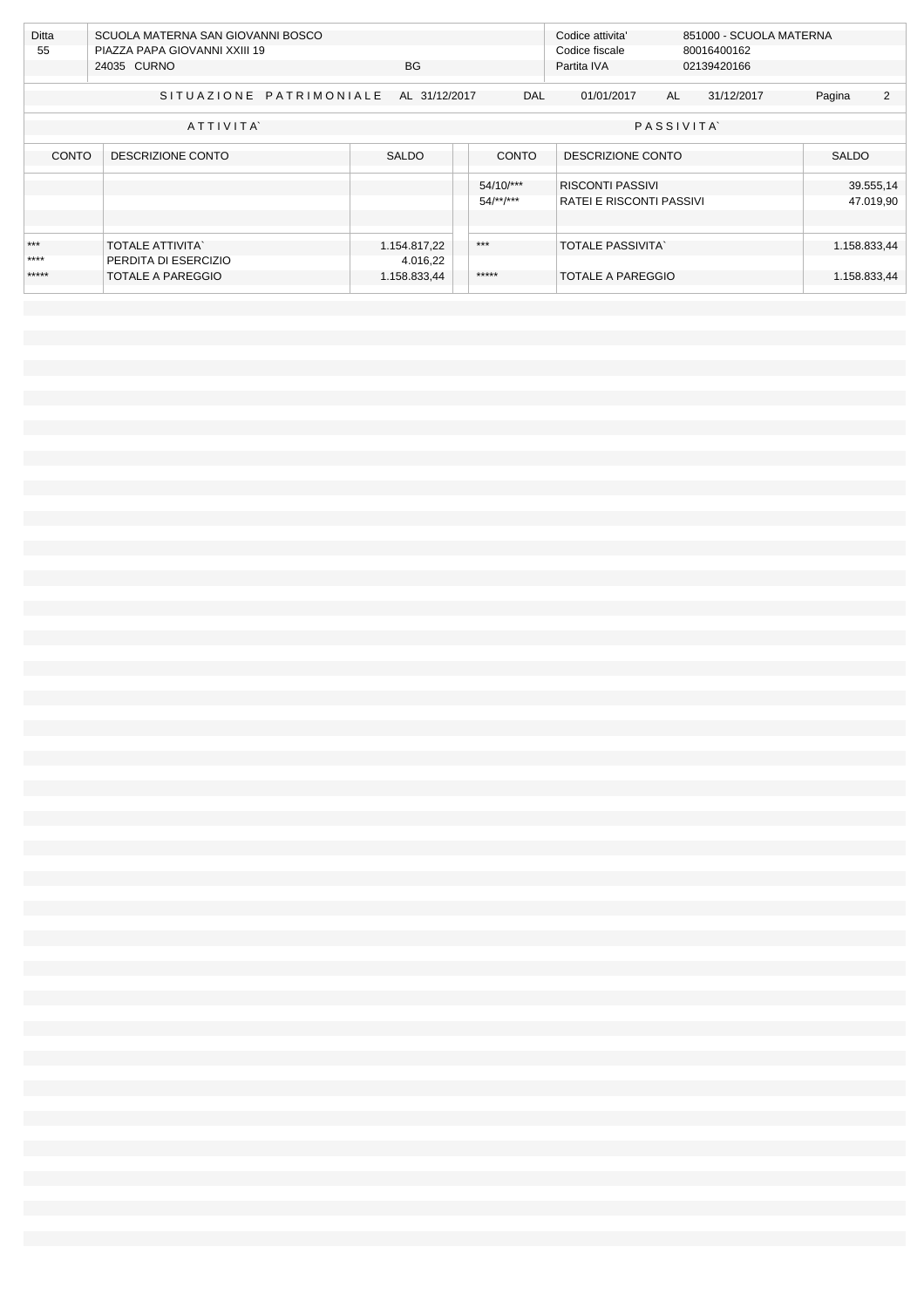|              | Ditta<br>SCUOLA MATERNA SAN GIOVANNI BOSCO |              |                                          | Codice attivita'         |             |             | 851000 - SCUOLA MATERNA |   |  |
|--------------|--------------------------------------------|--------------|------------------------------------------|--------------------------|-------------|-------------|-------------------------|---|--|
| 55           | PIAZZA PAPA GIOVANNI XXIII 19              |              |                                          | Codice fiscale           |             | 80016400162 |                         |   |  |
|              | 24035 CURNO                                | <b>BG</b>    |                                          | Partita IVA              | 02139420166 |             |                         |   |  |
|              |                                            |              |                                          |                          |             |             |                         |   |  |
|              | SITUAZIONE PATRIMONIALE AL 31/12/2017      |              | <b>DAL</b>                               | 01/01/2017               | AL          | 31/12/2017  | Pagina                  | 2 |  |
|              |                                            |              |                                          |                          |             |             |                         |   |  |
|              | ATTIVITA                                   |              |                                          |                          | PASSIVITA   |             |                         |   |  |
|              |                                            |              |                                          |                          |             |             |                         |   |  |
| <b>CONTO</b> | DESCRIZIONE CONTO                          | <b>SALDO</b> | <b>CONTO</b>                             | DESCRIZIONE CONTO        |             |             | <b>SALDO</b>            |   |  |
|              |                                            |              |                                          |                          |             |             |                         |   |  |
|              |                                            |              | 54/10/***                                | <b>RISCONTI PASSIVI</b>  |             |             | 39.555,14               |   |  |
|              |                                            |              | $54$ /**/***<br>RATEI E RISCONTI PASSIVI |                          |             |             | 47.019,90               |   |  |
|              |                                            |              |                                          |                          |             |             |                         |   |  |
|              |                                            |              |                                          |                          |             |             |                         |   |  |
| ***          | <b>TOTALE ATTIVITA</b>                     | 1.154.817,22 | $***$                                    | <b>TOTALE PASSIVITA</b>  |             |             | 1.158.833,44            |   |  |
|              |                                            |              |                                          |                          |             |             |                         |   |  |
| $***$        | PERDITA DI ESERCIZIO                       | 4.016,22     |                                          |                          |             |             |                         |   |  |
| *****        | <b>TOTALE A PAREGGIO</b>                   | 1.158.833,44 | *****                                    | <b>TOTALE A PAREGGIO</b> |             |             | 1.158.833,44            |   |  |
|              |                                            |              |                                          |                          |             |             |                         |   |  |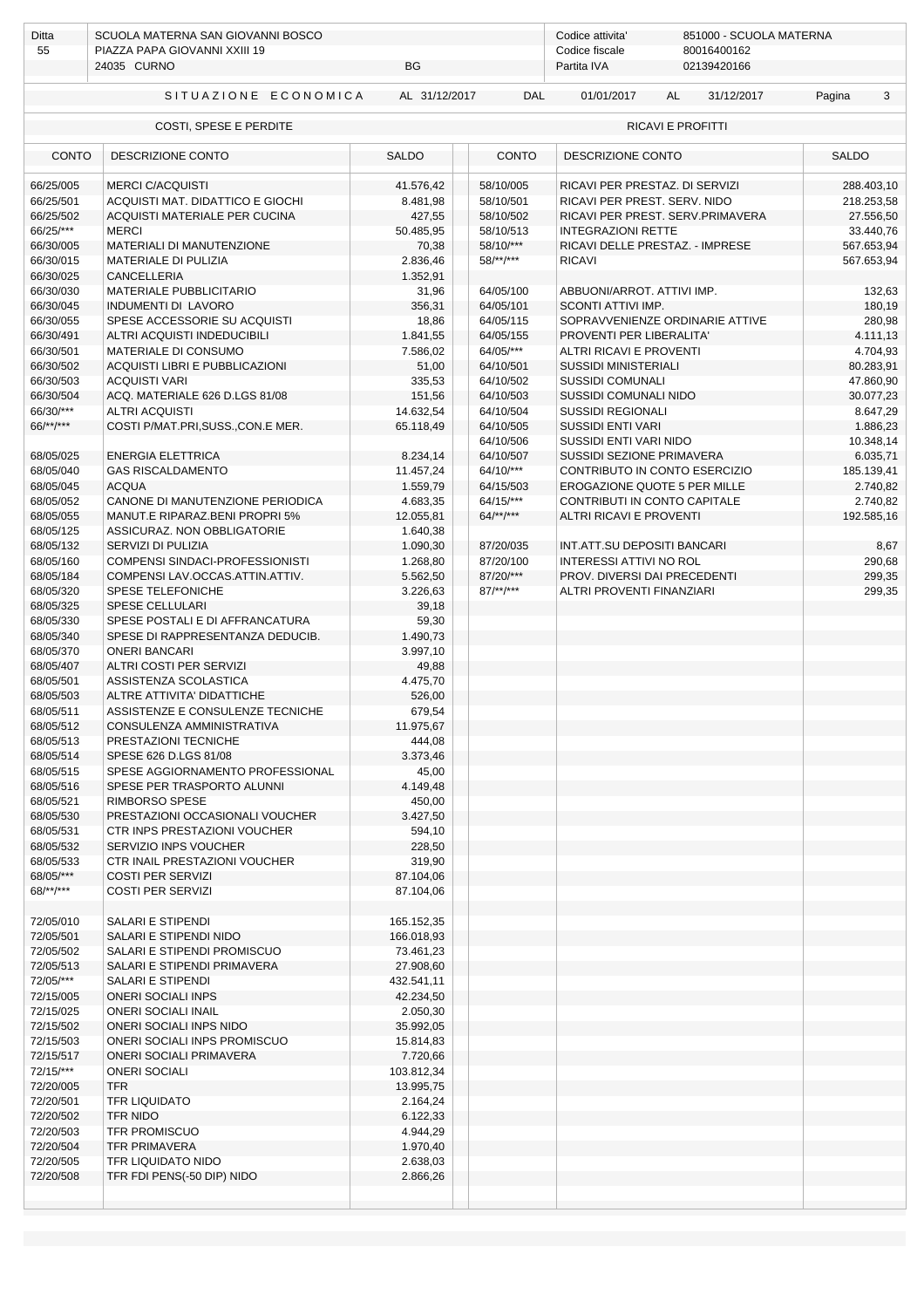| Ditta<br>55                                        | SCUOLA MATERNA SAN GIOVANNI BOSCO<br>PIAZZA PAPA GIOVANNI XXIII 19  | Codice attivita'<br>851000 - SCUOLA MATERNA<br>Codice fiscale<br>80016400162 |                        |                                                               |                        |  |  |  |  |
|----------------------------------------------------|---------------------------------------------------------------------|------------------------------------------------------------------------------|------------------------|---------------------------------------------------------------|------------------------|--|--|--|--|
|                                                    | 24035 CURNO<br>BG                                                   |                                                                              |                        | 02139420166<br>Partita IVA                                    |                        |  |  |  |  |
|                                                    | SITUAZIONE ECONOMICA                                                | AL 31/12/2017                                                                | <b>DAL</b>             | 01/01/2017<br><b>AL</b><br>31/12/2017                         | 3<br>Pagina            |  |  |  |  |
| <b>RICAVI E PROFITTI</b><br>COSTI, SPESE E PERDITE |                                                                     |                                                                              |                        |                                                               |                        |  |  |  |  |
| <b>CONTO</b><br>DESCRIZIONE CONTO                  |                                                                     | <b>SALDO</b>                                                                 | <b>CONTO</b>           | DESCRIZIONE CONTO                                             | <b>SALDO</b>           |  |  |  |  |
| 66/25/005                                          | <b>MERCI C/ACOUISTI</b>                                             | 41.576,42                                                                    | 58/10/005              | RICAVI PER PRESTAZ. DI SERVIZI                                | 288.403,10             |  |  |  |  |
| 66/25/501                                          | ACQUISTI MAT. DIDATTICO E GIOCHI                                    | 8.481,98                                                                     | 58/10/501              | RICAVI PER PREST. SERV. NIDO                                  | 218.253,58             |  |  |  |  |
| 66/25/502<br>66/25/***                             | ACOUISTI MATERIALE PER CUCINA<br><b>MERCI</b>                       | 427,55<br>50.485,95                                                          | 58/10/502<br>58/10/513 | RICAVI PER PREST. SERV.PRIMAVERA<br><b>INTEGRAZIONI RETTE</b> | 27.556,50<br>33.440,76 |  |  |  |  |
| 66/30/005                                          | MATERIALI DI MANUTENZIONE                                           | 70,38                                                                        | 58/10/***              | RICAVI DELLE PRESTAZ. - IMPRESE                               | 567.653,94             |  |  |  |  |
| 66/30/015                                          | <b>MATERIALE DI PULIZIA</b>                                         | 2.836,46                                                                     | $58$ /**/***           | <b>RICAVI</b>                                                 | 567.653,94             |  |  |  |  |
| 66/30/025                                          | <b>CANCELLERIA</b>                                                  | 1.352,91                                                                     |                        |                                                               |                        |  |  |  |  |
| 66/30/030                                          | MATERIALE PUBBLICITARIO                                             | 31,96                                                                        | 64/05/100              | ABBUONI/ARROT. ATTIVI IMP.                                    | 132,63                 |  |  |  |  |
| 66/30/045<br>66/30/055                             | INDUMENTI DI LAVORO<br>SPESE ACCESSORIE SU ACQUISTI                 | 356,31<br>18,86                                                              | 64/05/101<br>64/05/115 | SCONTI ATTIVI IMP.<br>SOPRAVVENIENZE ORDINARIE ATTIVE         | 180,19<br>280,98       |  |  |  |  |
| 66/30/491                                          | ALTRI ACQUISTI INDEDUCIBILI                                         | 1.841,55                                                                     | 64/05/155              | PROVENTI PER LIBERALITA'                                      | 4.111,13               |  |  |  |  |
| 66/30/501                                          | MATERIALE DI CONSUMO                                                | 7.586,02                                                                     | 64/05/***              | ALTRI RICAVI E PROVENTI                                       | 4.704,93               |  |  |  |  |
| 66/30/502                                          | ACQUISTI LIBRI E PUBBLICAZIONI                                      | 51,00                                                                        | 64/10/501              | <b>SUSSIDI MINISTERIALI</b>                                   | 80.283,91              |  |  |  |  |
| 66/30/503                                          | <b>ACQUISTI VARI</b>                                                | 335,53                                                                       | 64/10/502              | <b>SUSSIDI COMUNALI</b>                                       | 47.860,90              |  |  |  |  |
| 66/30/504<br>66/30/***                             | ACQ. MATERIALE 626 D.LGS 81/08                                      | 151,56                                                                       | 64/10/503<br>64/10/504 | SUSSIDI COMUNALI NIDO<br><b>SUSSIDI REGIONALI</b>             | 30.077,23              |  |  |  |  |
| 66/**/***                                          | <b>ALTRI ACQUISTI</b><br>COSTI P/MAT.PRI, SUSS., CON.E MER.         | 14.632,54<br>65.118,49                                                       | 64/10/505              | <b>SUSSIDI ENTI VARI</b>                                      | 8.647,29<br>1.886,23   |  |  |  |  |
|                                                    |                                                                     |                                                                              | 64/10/506              | SUSSIDI ENTI VARI NIDO                                        | 10.348,14              |  |  |  |  |
| 68/05/025                                          | <b>ENERGIA ELETTRICA</b>                                            | 8.234,14                                                                     | 64/10/507              | SUSSIDI SEZIONE PRIMAVERA                                     | 6.035,71               |  |  |  |  |
| 68/05/040                                          | <b>GAS RISCALDAMENTO</b>                                            | 11.457,24                                                                    | $64/10$ /***           | CONTRIBUTO IN CONTO ESERCIZIO                                 | 185.139,41             |  |  |  |  |
| 68/05/045                                          | <b>ACQUA</b>                                                        | 1.559,79                                                                     | 64/15/503              | EROGAZIONE QUOTE 5 PER MILLE                                  | 2.740,82               |  |  |  |  |
| 68/05/052                                          | CANONE DI MANUTENZIONE PERIODICA                                    | 4.683,35                                                                     | $64/15$ /***           | CONTRIBUTI IN CONTO CAPITALE                                  | 2.740,82               |  |  |  |  |
| 68/05/055<br>68/05/125                             | MANUT.E RIPARAZ.BENI PROPRI 5%<br>ASSICURAZ. NON OBBLIGATORIE       | 12.055,81<br>1.640,38                                                        | $64$ /**/***           | <b>ALTRI RICAVI E PROVENTI</b>                                | 192.585,16             |  |  |  |  |
| 68/05/132                                          | SERVIZI DI PULIZIA                                                  | 1.090,30                                                                     | 87/20/035              | INT.ATT.SU DEPOSITI BANCARI                                   | 8,67                   |  |  |  |  |
| 68/05/160                                          | COMPENSI SINDACI-PROFESSIONISTI                                     | 1.268,80                                                                     | 87/20/100              | <b>INTERESSI ATTIVI NO ROL</b>                                | 290,68                 |  |  |  |  |
| 68/05/184                                          | COMPENSI LAV.OCCAS.ATTIN.ATTIV.                                     | 5.562,50                                                                     | 87/20/***              | PROV. DIVERSI DAI PRECEDENTI                                  | 299,35                 |  |  |  |  |
| 68/05/320                                          | SPESE TELEFONICHE                                                   | 3.226,63                                                                     | $87$ /**/***           | ALTRI PROVENTI FINANZIARI                                     | 299,35                 |  |  |  |  |
| 68/05/325                                          | <b>SPESE CELLULARI</b>                                              | 39,18                                                                        |                        |                                                               |                        |  |  |  |  |
| 68/05/330<br>68/05/340                             | SPESE POSTALI E DI AFFRANCATURA<br>SPESE DI RAPPRESENTANZA DEDUCIB. | 59,30<br>1.490,73                                                            |                        |                                                               |                        |  |  |  |  |
| 68/05/370                                          | <b>ONERI BANCARI</b>                                                | 3.997,10                                                                     |                        |                                                               |                        |  |  |  |  |
| 68/05/407                                          | ALTRI COSTI PER SERVIZI                                             | 49,88                                                                        |                        |                                                               |                        |  |  |  |  |
| 68/05/501                                          | ASSISTENZA SCOLASTICA                                               | 4.475,70                                                                     |                        |                                                               |                        |  |  |  |  |
| 68/05/503                                          | ALTRE ATTIVITA' DIDATTICHE                                          | 526,00                                                                       |                        |                                                               |                        |  |  |  |  |
| 68/05/511<br>68/05/512                             | ASSISTENZE E CONSULENZE TECNICHE<br>CONSULENZA AMMINISTRATIVA       | 679,54<br>11.975,67                                                          |                        |                                                               |                        |  |  |  |  |
| 68/05/513                                          | PRESTAZIONI TECNICHE                                                | 444,08                                                                       |                        |                                                               |                        |  |  |  |  |
| 68/05/514                                          | SPESE 626 D.LGS 81/08                                               | 3.373,46                                                                     |                        |                                                               |                        |  |  |  |  |
| 68/05/515                                          | SPESE AGGIORNAMENTO PROFESSIONAL                                    | 45,00                                                                        |                        |                                                               |                        |  |  |  |  |
| 68/05/516                                          | SPESE PER TRASPORTO ALUNNI                                          | 4.149,48                                                                     |                        |                                                               |                        |  |  |  |  |
| 68/05/521<br>68/05/530                             | RIMBORSO SPESE                                                      | 450,00<br>3.427,50                                                           |                        |                                                               |                        |  |  |  |  |
| 68/05/531                                          | PRESTAZIONI OCCASIONALI VOUCHER<br>CTR INPS PRESTAZIONI VOUCHER     | 594,10                                                                       |                        |                                                               |                        |  |  |  |  |
| 68/05/532                                          | SERVIZIO INPS VOUCHER                                               | 228,50                                                                       |                        |                                                               |                        |  |  |  |  |
| 68/05/533                                          | CTR INAIL PRESTAZIONI VOUCHER                                       | 319,90                                                                       |                        |                                                               |                        |  |  |  |  |
| 68/05/***                                          | <b>COSTI PER SERVIZI</b>                                            | 87.104,06                                                                    |                        |                                                               |                        |  |  |  |  |
| 68/**/***                                          | COSTI PER SERVIZI                                                   | 87.104,06                                                                    |                        |                                                               |                        |  |  |  |  |
| 72/05/010                                          | SALARI E STIPENDI                                                   | 165.152,35                                                                   |                        |                                                               |                        |  |  |  |  |
| 72/05/501                                          | SALARI E STIPENDI NIDO                                              | 166.018,93                                                                   |                        |                                                               |                        |  |  |  |  |
| 72/05/502                                          | SALARI E STIPENDI PROMISCUO                                         | 73.461,23                                                                    |                        |                                                               |                        |  |  |  |  |
| 72/05/513                                          | SALARI E STIPENDI PRIMAVERA                                         | 27.908,60                                                                    |                        |                                                               |                        |  |  |  |  |
| 72/05/***                                          | SALARI E STIPENDI                                                   | 432.541,11                                                                   |                        |                                                               |                        |  |  |  |  |
| 72/15/005<br>72/15/025                             | <b>ONERI SOCIALI INPS</b><br><b>ONERI SOCIALI INAIL</b>             | 42.234,50<br>2.050,30                                                        |                        |                                                               |                        |  |  |  |  |
| 72/15/502                                          | <b>ONERI SOCIALI INPS NIDO</b>                                      | 35.992,05                                                                    |                        |                                                               |                        |  |  |  |  |
| 72/15/503                                          | ONERI SOCIALI INPS PROMISCUO                                        | 15.814,83                                                                    |                        |                                                               |                        |  |  |  |  |
| 72/15/517                                          | <b>ONERI SOCIALI PRIMAVERA</b>                                      | 7.720,66                                                                     |                        |                                                               |                        |  |  |  |  |
| 72/15/***                                          | <b>ONERI SOCIALI</b>                                                | 103.812,34                                                                   |                        |                                                               |                        |  |  |  |  |
| 72/20/005                                          | <b>TFR</b>                                                          | 13.995,75                                                                    |                        |                                                               |                        |  |  |  |  |
| 72/20/501<br>72/20/502                             | <b>TFR LIQUIDATO</b><br><b>TFR NIDO</b>                             | 2.164,24<br>6.122,33                                                         |                        |                                                               |                        |  |  |  |  |
| 72/20/503                                          | TFR PROMISCUO                                                       | 4.944,29                                                                     |                        |                                                               |                        |  |  |  |  |
| 72/20/504                                          | <b>TFR PRIMAVERA</b>                                                | 1.970,40                                                                     |                        |                                                               |                        |  |  |  |  |
| 72/20/505                                          | TFR LIQUIDATO NIDO                                                  | 2.638,03                                                                     |                        |                                                               |                        |  |  |  |  |
| 72/20/508                                          | TFR FDI PENS(-50 DIP) NIDO                                          | 2.866,26                                                                     |                        |                                                               |                        |  |  |  |  |
|                                                    |                                                                     |                                                                              |                        |                                                               |                        |  |  |  |  |